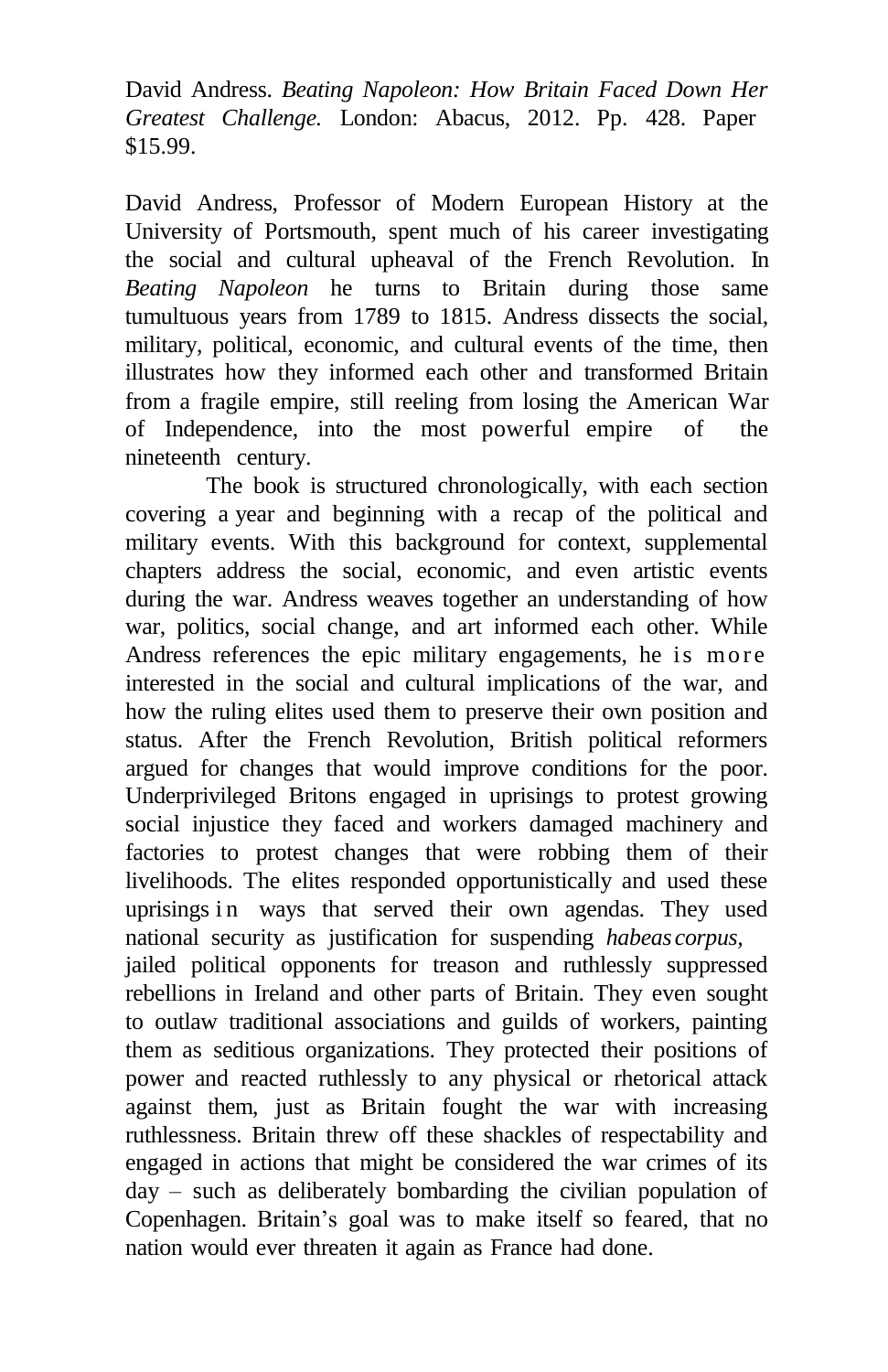David Andress. *Beating Napoleon: How Britain Faced Down Her Greatest Challenge.* London: Abacus, 2012. Pp. 428. Paper \$15.99.

David Andress, Professor of Modern European History at the University of Portsmouth, spent much of his career investigating the social and cultural upheaval of the French Revolution. In *Beating Napoleon* he turns to Britain during those same tumultuous years from 1789 to 1815. Andress dissects the social, military, political, economic, and cultural events of the time, then illustrates how they informed each other and transformed Britain from a fragile empire, still reeling from losing the American War of Independence, into the most powerful empire of the nineteenth century.

The book is structured chronologically, with each section covering a year and beginning with a recap of the political and military events. With this background for context, supplemental chapters address the social, economic, and even artistic events during the war. Andress weaves together an understanding of how war, politics, social change, and art informed each other. While Andress references the epic military engagements, he is more interested in the social and cultural implications of the war, and how the ruling elites used them to preserve their own position and status. After the French Revolution, British political reformers argued for changes that would improve conditions for the poor. Underprivileged Britons engaged in uprisings to protest growing social injustice they faced and workers damaged machinery and factories to protest changes that were robbing them of their livelihoods. The elites responded opportunistically and used these uprisings in ways that served their own agendas. They used national security as justification for suspending *habeas corpus,* jailed political opponents for treason and ruthlessly suppressed rebellions in Ireland and other parts of Britain. They even sought to outlaw traditional associations and guilds of workers, painting them as seditious organizations. They protected their positions of power and reacted ruthlessly to any physical or rhetorical attack against them, just as Britain fought the war with increasing ruthlessness. Britain threw off these shackles of respectability and engaged in actions that might be considered the war crimes of its day – such as deliberately bombarding the civilian population of Copenhagen. Britain's goal was to make itself so feared, that no nation would ever threaten it again as France had done.